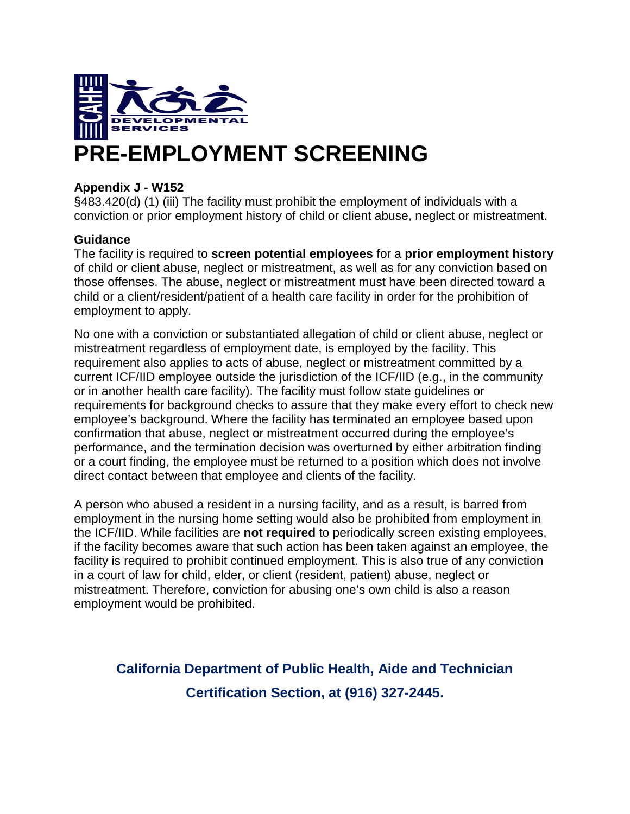

# **PRE-EMPLOYMENT SCREENING**

### **Appendix J - W152**

§483.420(d) (1) (iii) The facility must prohibit the employment of individuals with a conviction or prior employment history of child or client abuse, neglect or mistreatment.

#### **Guidance**

The facility is required to **screen potential employees** for a **prior employment history** of child or client abuse, neglect or mistreatment, as well as for any conviction based on those offenses. The abuse, neglect or mistreatment must have been directed toward a child or a client/resident/patient of a health care facility in order for the prohibition of employment to apply.

No one with a conviction or substantiated allegation of child or client abuse, neglect or mistreatment regardless of employment date, is employed by the facility. This requirement also applies to acts of abuse, neglect or mistreatment committed by a current ICF/IID employee outside the jurisdiction of the ICF/IID (e.g., in the community or in another health care facility). The facility must follow state guidelines or requirements for background checks to assure that they make every effort to check new employee's background. Where the facility has terminated an employee based upon confirmation that abuse, neglect or mistreatment occurred during the employee's performance, and the termination decision was overturned by either arbitration finding or a court finding, the employee must be returned to a position which does not involve direct contact between that employee and clients of the facility.

A person who abused a resident in a nursing facility, and as a result, is barred from employment in the nursing home setting would also be prohibited from employment in the ICF/IID. While facilities are **not required** to periodically screen existing employees, if the facility becomes aware that such action has been taken against an employee, the facility is required to prohibit continued employment. This is also true of any conviction in a court of law for child, elder, or client (resident, patient) abuse, neglect or mistreatment. Therefore, conviction for abusing one's own child is also a reason employment would be prohibited.

# **California Department of Public Health, Aide and Technician Certification Section, at (916) 327-2445.**